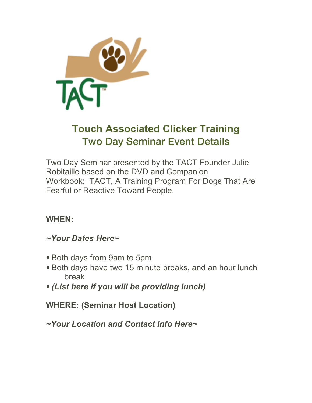

# **Touch Associated Clicker Training** Two Day Seminar Event Details

Two Day Seminar presented by the TACT Founder Julie Robitaille based on the DVD and Companion Workbook: TACT, A Training Program For Dogs That Are Fearful or Reactive Toward People.

#### **WHEN:**

## *~Your Dates Here~*

- Both days from 9am to 5pm
- Both days have two 15 minute breaks, and an hour lunch break
- *(List here if you will be providing lunch)*

# **WHERE: (Seminar Host Location)**

*~Your Location and Contact Info Here~*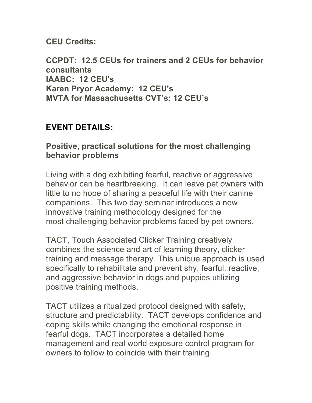**CEU Credits:**

**CCPDT: 12.5 CEUs for trainers and 2 CEUs for behavior consultants IAABC: 12 CEU's Karen Pryor Academy: 12 CEU's MVTA for Massachusetts CVT's: 12 CEU's**

### **EVENT DETAILS:**

#### **Positive, practical solutions for the most challenging behavior problems**

Living with a dog exhibiting fearful, reactive or aggressive behavior can be heartbreaking. It can leave pet owners with little to no hope of sharing a peaceful life with their canine companions. This two day seminar introduces a new innovative training methodology designed for the most challenging behavior problems faced by pet owners.

TACT, Touch Associated Clicker Training creatively combines the science and art of learning theory, clicker training and massage therapy. This unique approach is used specifically to rehabilitate and prevent shy, fearful, reactive, and aggressive behavior in dogs and puppies utilizing positive training methods.

TACT utilizes a ritualized protocol designed with safety, structure and predictability. TACT develops confidence and coping skills while changing the emotional response in fearful dogs. TACT incorporates a detailed home management and real world exposure control program for owners to follow to coincide with their training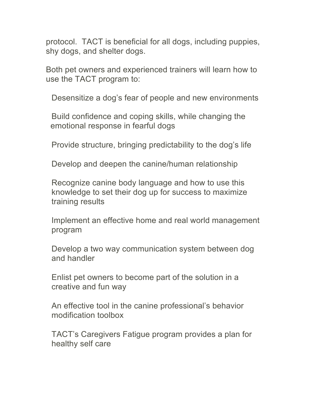protocol. TACT is beneficial for all dogs, including puppies, shy dogs, and shelter dogs.

Both pet owners and experienced trainers will learn how to use the TACT program to:

Desensitize a dog's fear of people and new environments

Build confidence and coping skills, while changing the emotional response in fearful dogs

Provide structure, bringing predictability to the dog's life

Develop and deepen the canine/human relationship

Recognize canine body language and how to use this knowledge to set their dog up for success to maximize training results

Implement an effective home and real world management program

Develop a two way communication system between dog and handler

Enlist pet owners to become part of the solution in a creative and fun way

An effective tool in the canine professional's behavior modification toolbox

TACT's Caregivers Fatigue program provides a plan for healthy self care